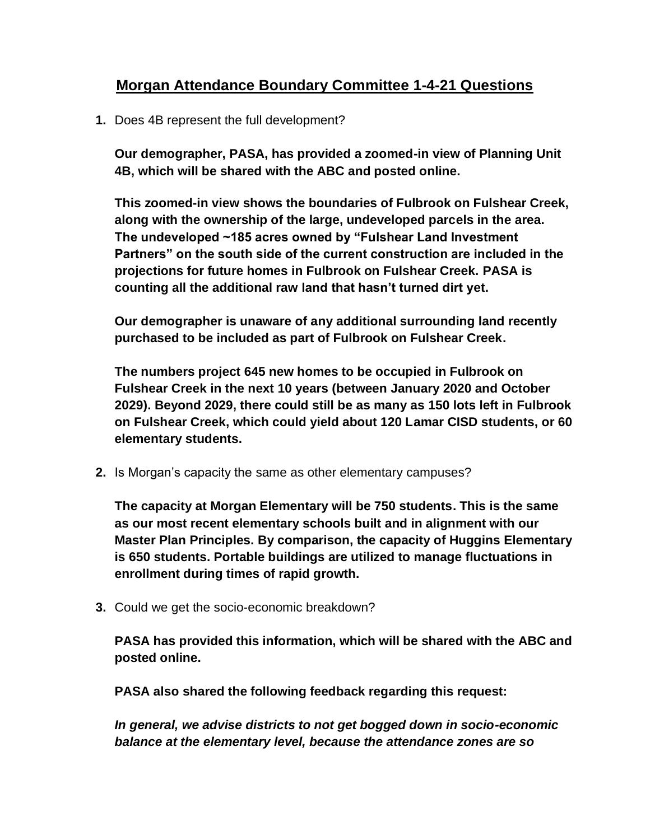## **Morgan Attendance Boundary Committee 1-4-21 Questions**

**1.** Does 4B represent the full development?

**Our demographer, PASA, has provided a zoomed-in view of Planning Unit 4B, which will be shared with the ABC and posted online.** 

**This zoomed-in view shows the boundaries of Fulbrook on Fulshear Creek, along with the ownership of the large, undeveloped parcels in the area. The undeveloped ~185 acres owned by "Fulshear Land Investment Partners" on the south side of the current construction are included in the projections for future homes in Fulbrook on Fulshear Creek. PASA is counting all the additional raw land that hasn't turned dirt yet.** 

**Our demographer is unaware of any additional surrounding land recently purchased to be included as part of Fulbrook on Fulshear Creek.**

**The numbers project 645 new homes to be occupied in Fulbrook on Fulshear Creek in the next 10 years (between January 2020 and October 2029). Beyond 2029, there could still be as many as 150 lots left in Fulbrook on Fulshear Creek, which could yield about 120 Lamar CISD students, or 60 elementary students.**

**2.** Is Morgan's capacity the same as other elementary campuses?

**The capacity at Morgan Elementary will be 750 students. This is the same as our most recent elementary schools built and in alignment with our Master Plan Principles. By comparison, the capacity of Huggins Elementary is 650 students. Portable buildings are utilized to manage fluctuations in enrollment during times of rapid growth.**

**3.** Could we get the socio-economic breakdown?

**PASA has provided this information, which will be shared with the ABC and posted online.** 

**PASA also shared the following feedback regarding this request:** 

*In general, we advise districts to not get bogged down in socio-economic balance at the elementary level, because the attendance zones are so*